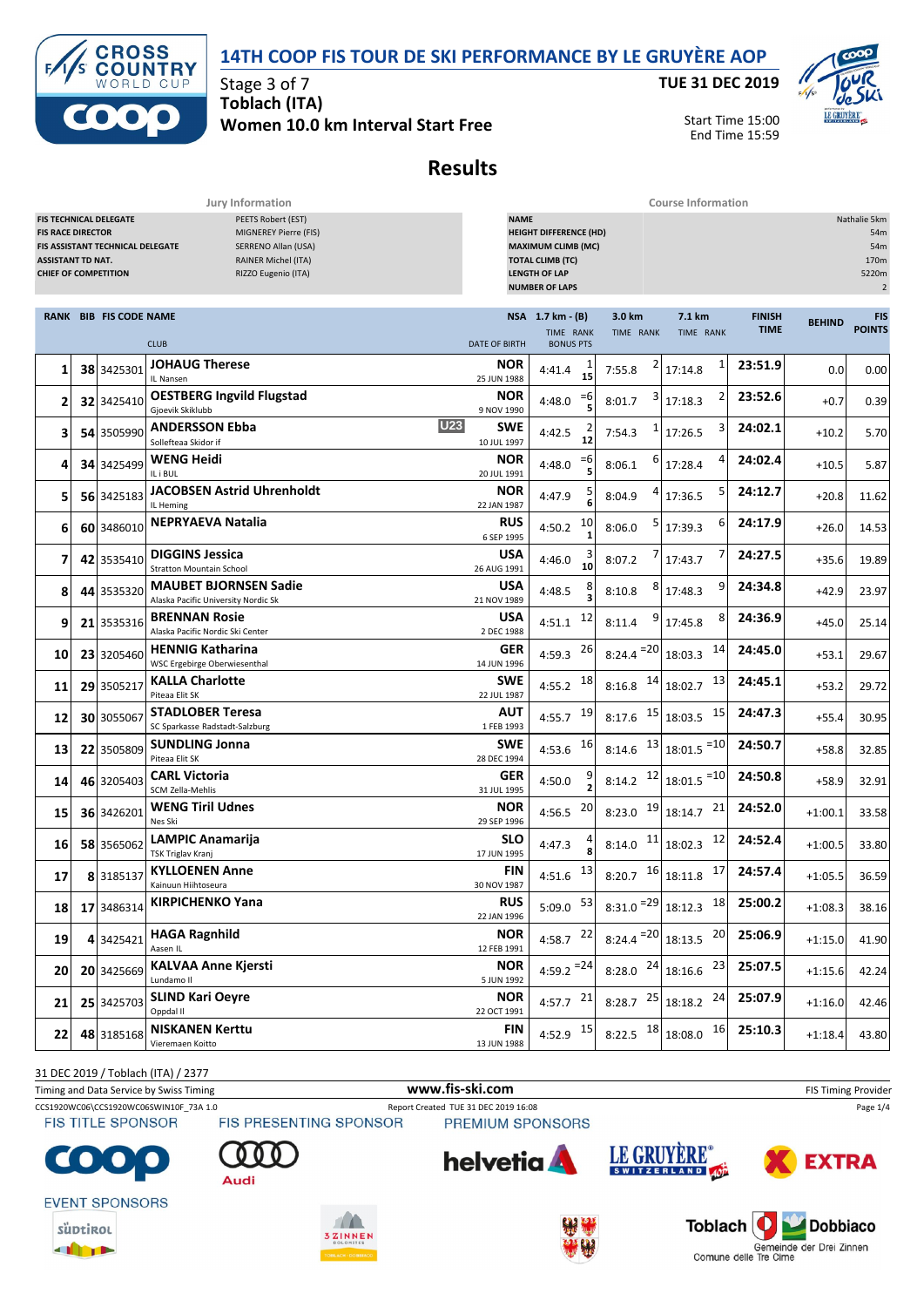



**TUE 31 DEC 2019**



Start Time 15:00 End Time 15:59

## **Results**

|                                                                                     |                                              |                                                                   | Jury Information                                                                                                        |                                         | <b>Course Information</b>                                                                                                                                                      |                                 |                                |                              |               |                             |  |  |  |
|-------------------------------------------------------------------------------------|----------------------------------------------|-------------------------------------------------------------------|-------------------------------------------------------------------------------------------------------------------------|-----------------------------------------|--------------------------------------------------------------------------------------------------------------------------------------------------------------------------------|---------------------------------|--------------------------------|------------------------------|---------------|-----------------------------|--|--|--|
| <b>FIS RACE DIRECTOR</b><br><b>ASSISTANT TD NAT.</b><br><b>CHIEF OF COMPETITION</b> |                                              | <b>FIS TECHNICAL DELEGATE</b><br>FIS ASSISTANT TECHNICAL DELEGATE | PEETS Robert (EST)<br>MIGNEREY Pierre (FIS)<br>SERRENO Allan (USA)<br><b>RAINER Michel (ITA)</b><br>RIZZO Eugenio (ITA) |                                         | <b>NAME</b><br>Nathalie 5km<br><b>HEIGHT DIFFERENCE (HD)</b><br><b>MAXIMUM CLIMB (MC)</b><br><b>TOTAL CLIMB (TC)</b><br><b>LENGTH OF LAP</b><br>5220m<br><b>NUMBER OF LAPS</b> |                                 |                                |                              |               |                             |  |  |  |
|                                                                                     | <b>RANK BIB FIS CODE NAME</b><br><b>CLUB</b> |                                                                   |                                                                                                                         | <b>DATE OF BIRTH</b>                    | NSA 1.7 km - (B)<br>TIME RANK<br><b>BONUS PTS</b>                                                                                                                              | 3.0 km<br>TIME RANK             | 7.1 km<br>TIME RANK            | <b>FINISH</b><br><b>TIME</b> | <b>BEHIND</b> | <b>FIS</b><br><b>POINTS</b> |  |  |  |
| 1                                                                                   | 38                                           | 3425301                                                           | <b>JOHAUG Therese</b><br>IL Nansen                                                                                      | <b>NOR</b><br>25 JUN 1988               | 4:41.4<br>15                                                                                                                                                                   | 7:55.8                          | 1<br>17:14.8                   | 23:51.9                      | 0.0           | 0.00                        |  |  |  |
| $\overline{2}$                                                                      |                                              | 32 3425410                                                        | <b>OESTBERG Ingvild Flugstad</b><br>Gjoevik Skiklubb                                                                    | <b>NOR</b><br>9 NOV 1990                | $=6$<br>4:48.0                                                                                                                                                                 | 8:01.7                          | 17:18.3                        | 23:52.6                      | $+0.7$        | 0.39                        |  |  |  |
| 3                                                                                   | 54                                           | 3505990                                                           | <b>ANDERSSON Ebba</b><br>Sollefteaa Skidor if                                                                           | <b>U23</b><br><b>SWE</b><br>10 JUL 1997 | 4:42.5<br>12                                                                                                                                                                   | 7:54.3                          | 3<br>17:26.5                   | 24:02.1                      | $+10.2$       | 5.70                        |  |  |  |
| 4                                                                                   |                                              | 34 3425499                                                        | WENG Heidi<br>IL i BUL                                                                                                  | <b>NOR</b><br>20 JUL 1991               | $=6$<br>4:48.0                                                                                                                                                                 | 8:06.1                          | 4<br>17:28.4                   | 24:02.4                      | $+10.5$       | 5.87                        |  |  |  |
| 5                                                                                   |                                              | 56 3425183                                                        | <b>JACOBSEN Astrid Uhrenholdt</b><br>IL Heming                                                                          | <b>NOR</b><br>22 JAN 1987               | 4:47.9                                                                                                                                                                         | 8:04.9                          | 5<br>17:36.5                   | 24:12.7                      | $+20.8$       | 11.62                       |  |  |  |
| 6                                                                                   |                                              | 60 3486010                                                        | <b>NEPRYAEVA Natalia</b>                                                                                                | <b>RUS</b><br>6 SEP 1995                | 10<br>4:50.2                                                                                                                                                                   | 5<br>8:06.0                     | 6<br>17:39.3                   | 24:17.9                      | $+26.0$       | 14.53                       |  |  |  |
| 7                                                                                   |                                              | 42 3535410                                                        | <b>DIGGINS Jessica</b><br><b>Stratton Mountain School</b>                                                               | USA<br>26 AUG 1991                      | 4:46.0<br>10                                                                                                                                                                   | 8:07.2                          | 17:43.7                        | 24:27.5                      | $+35.6$       | 19.89                       |  |  |  |
| 8                                                                                   | 44                                           | 3535320                                                           | <b>MAUBET BJORNSEN Sadie</b><br>Alaska Pacific University Nordic Sk                                                     | USA<br>21 NOV 1989                      | 4:48.5                                                                                                                                                                         | 8:10.8                          | 9<br>17:48.3                   | 24:34.8                      | $+42.9$       | 23.97                       |  |  |  |
| 9                                                                                   |                                              | 21 3535316                                                        | <b>BRENNAN Rosie</b><br>Alaska Pacific Nordic Ski Center                                                                | USA<br>2 DEC 1988                       | 12<br>4:51.1                                                                                                                                                                   | 9<br>8:11.4                     | 8<br>17:45.8                   | 24:36.9                      | $+45.0$       | 25.14                       |  |  |  |
| 10                                                                                  |                                              | 23 3205460                                                        | <b>HENNIG Katharina</b><br>WSC Ergebirge Oberwiesenthal                                                                 | <b>GER</b><br>14 JUN 1996               | 26<br>4:59.3                                                                                                                                                                   | $8:24.4 = 20$                   | 14<br>18:03.3                  | 24:45.0                      | $+53.1$       | 29.67                       |  |  |  |
| 11                                                                                  | 29                                           | 3505217                                                           | <b>KALLA Charlotte</b><br>Piteaa Elit SK                                                                                | <b>SWE</b><br>22 JUL 1987               | 18<br>4:55.2                                                                                                                                                                   | 14<br>8:16.8                    | 13<br>18:02.7                  | 24:45.1                      | $+53.2$       | 29.72                       |  |  |  |
| 12                                                                                  |                                              | 30 3055067                                                        | <b>STADLOBER Teresa</b><br>SC Sparkasse Radstadt-Salzburg                                                               | AUT<br>1 FEB 1993                       | 19<br>4:55.7                                                                                                                                                                   | 8:17.6                          | 15<br>$15$ 18:03.5             | 24:47.3                      | $+55.4$       | 30.95                       |  |  |  |
| 13                                                                                  |                                              | 22 3505809                                                        | <b>SUNDLING Jonna</b><br>Piteaa Elit SK                                                                                 | <b>SWE</b><br>28 DEC 1994               | 16<br>4:53.6                                                                                                                                                                   | 13<br>8:14.6                    | $18:01.5$ <sup>=10</sup>       | 24:50.7                      | $+58.8$       | 32.85                       |  |  |  |
| 14                                                                                  |                                              | 46 3205403                                                        | <b>CARL Victoria</b><br>SCM Zella-Mehlis                                                                                | <b>GER</b><br>31 JUL 1995               | 4:50.0                                                                                                                                                                         | 8:14.2                          | $12 \mid 18:01.5 = 10$         | 24:50.8                      | $+58.9$       | 32.91                       |  |  |  |
| 15                                                                                  |                                              | 36 3426201                                                        | <b>WENG Tiril Udnes</b><br>Nes Ski                                                                                      | <b>NOR</b><br>29 SEP 1996               | 20<br>4:56.5                                                                                                                                                                   | 8:23.0                          | $19$ 18:14.7<br>21             | 24:52.0                      | $+1:00.1$     | 33.58                       |  |  |  |
| 16                                                                                  |                                              | 58 3565062                                                        | <b>LAMPIC Anamarija</b><br><b>TSK Triglav Kranj</b>                                                                     | SLO<br>17 JUN 1995                      | 4:47.3                                                                                                                                                                         | 11<br>8:14.0                    | 12<br>18:02.3                  | 24:52.4                      | $+1:00.5$     | 33.80                       |  |  |  |
| 17                                                                                  |                                              | 8 3185137                                                         | <b>KYLLOENEN Anne</b><br>Kainuun Hiihtoseura                                                                            | FIN<br>30 NOV 1987                      | 4:51.6 $13$                                                                                                                                                                    | $8:20.7$ $16$ 18:11.8           | 17                             | 24:57.4                      | $+1:05.5$     | 36.59                       |  |  |  |
| 18                                                                                  |                                              | 17 3486314                                                        | <b>KIRPICHENKO Yana</b>                                                                                                 | <b>RUS</b><br>22 JAN 1996               | $5:09.0$ $53$                                                                                                                                                                  |                                 | 8:31.0 $^{-29}$ 18:12.3 18     | 25:00.2                      | $+1:08.3$     | 38.16                       |  |  |  |
| 19                                                                                  |                                              | 4 3425421                                                         | <b>HAGA Ragnhild</b><br>Aasen IL                                                                                        | <b>NOR</b><br>12 FEB 1991               | 4:58.7 $^{22}$                                                                                                                                                                 | $8:24.4$ <sup>=20</sup> 18:13.5 | 20                             | 25:06.9                      | $+1:15.0$     | 41.90                       |  |  |  |
| 20                                                                                  |                                              | 20 3425669                                                        | <b>KALVAA Anne Kjersti</b><br>Lundamo II                                                                                | <b>NOR</b><br>5 JUN 1992                | $4:59.2 = 24$                                                                                                                                                                  |                                 | 8:28.0 $^{24}$ 18:16.6 $^{23}$ | 25:07.5                      | $+1:15.6$     | 42.24                       |  |  |  |
| 21                                                                                  |                                              | 25 3425703                                                        | <b>SLIND Kari Oeyre</b><br>Oppdal II                                                                                    | <b>NOR</b><br>22 OCT 1991               | 4:57.7 $^{21}$                                                                                                                                                                 |                                 | 8:28.7 25 18:18.2 24           | 25:07.9                      | $+1:16.0$     | 42.46                       |  |  |  |
| 22                                                                                  |                                              | 48 3185168                                                        | <b>NISKANEN Kerttu</b><br>Vieremaen Koitto                                                                              | FIN<br>13 JUN 1988                      | 4:52.9 15                                                                                                                                                                      |                                 | 8:22.5 $18$ 18:08.0 16         | 25:10.3                      | $+1:18.4$     | 43.80                       |  |  |  |

31 DEC 2019 / Toblach (ITA) / 2377

Timing and Data Service by Swiss Timing **WWW.fis-Ski.com www.fis-ski.com** FIS Timing Provider

CCS1920WC06\CCS1920WC06SWIN10F\_73A 1.0 Report Created TUE 31 DEC 2019 16:08 Page 1/4<br>FIS TITLE SPONSOR FIS PRESENTING SPONSOR PREMIUM SPONSORS





**EVENT SPONSORS** 













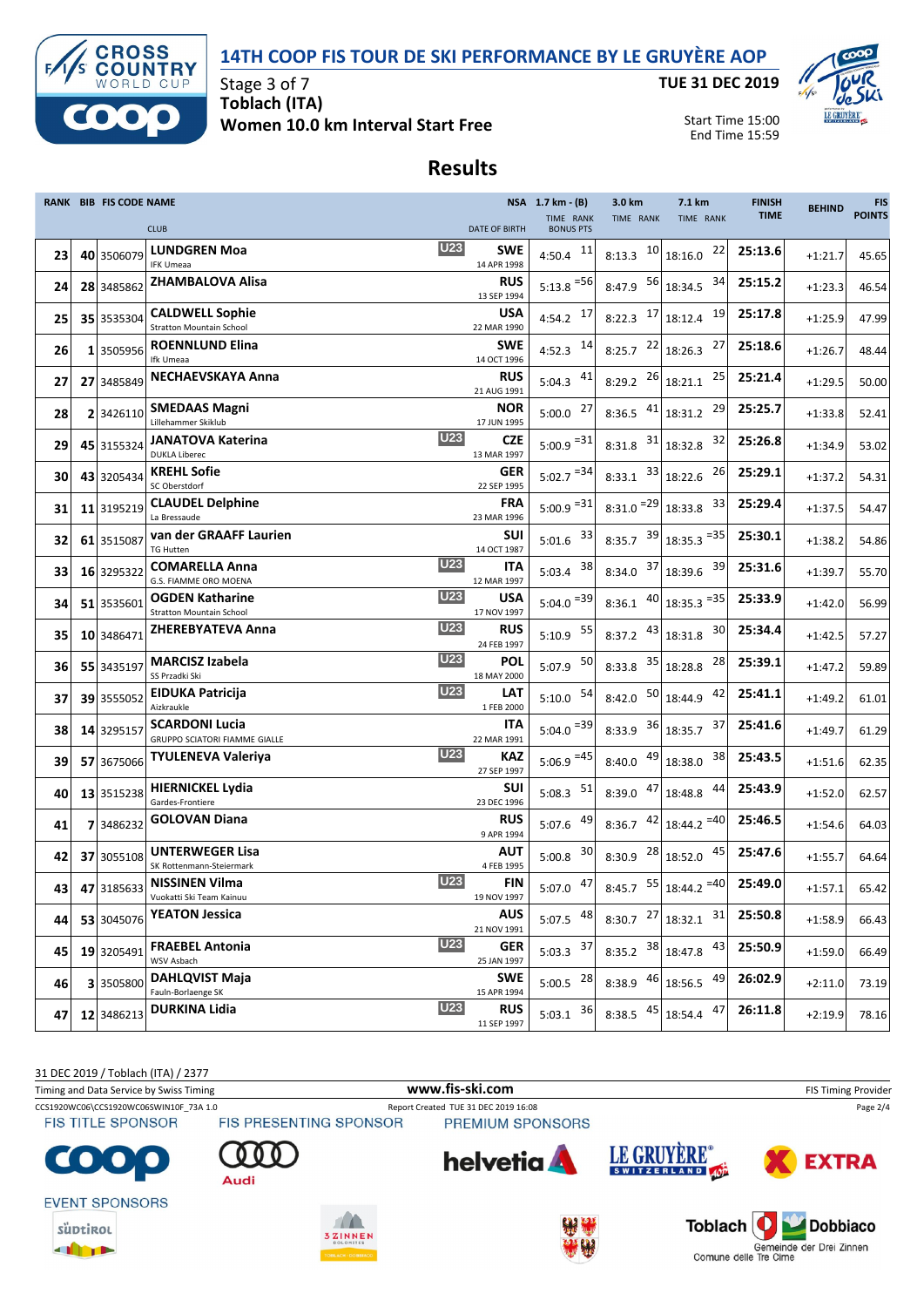



**TUE 31 DEC 2019**



Start Time 15:00 End Time 15:59

## **Results**

|    | RANK BIB FIS CODE NAME |                                                           |                                         | NSA 1.7 km - (B)              | 3.0 km                  | 7.1 km                        | <b>FINISH</b><br><b>TIME</b> | <b>BEHIND</b> | <b>FIS</b><br><b>POINTS</b> |
|----|------------------------|-----------------------------------------------------------|-----------------------------------------|-------------------------------|-------------------------|-------------------------------|------------------------------|---------------|-----------------------------|
|    |                        | <b>CLUB</b>                                               | <b>DATE OF BIRTH</b>                    | TIME RANK<br><b>BONUS PTS</b> | TIME RANK               | TIME RANK                     |                              |               |                             |
| 23 | 40 3506079             | <b>LUNDGREN Moa</b><br><b>IFK Umeaa</b>                   | <b>U23</b><br>SWE<br>14 APR 1998        | 4:50.4 $11$                   | 10<br>8:13.3            | 22<br>18:16.0                 | 25:13.6                      | $+1:21.7$     | 45.65                       |
| 24 | 28 3485862             | <b>ZHAMBALOVA Alisa</b>                                   | <b>RUS</b><br>13 SEP 1994               | $5:13.8$ <sup>=56</sup>       | 56<br>8:47.9            | 34<br>18:34.5                 | 25:15.2                      | $+1:23.3$     | 46.54                       |
| 25 | 35 3535304             | <b>CALDWELL Sophie</b><br><b>Stratton Mountain School</b> | <b>USA</b><br>22 MAR 1990               | 17<br>4:54.2                  | 17<br>8:22.3            | 19<br>18:12.4                 | 25:17.8                      | $+1:25.9$     | 47.99                       |
| 26 | 3505956                | <b>ROENNLUND Elina</b><br>Ifk Umeaa                       | <b>SWE</b><br>14 OCT 1996               | 14<br>4:52.3                  | 22<br>8:25.7            | 27<br>18:26.3                 | 25:18.6                      | $+1:26.7$     | 48.44                       |
| 27 | 27 3485849             | <b>NECHAEVSKAYA Anna</b>                                  | <b>RUS</b><br>21 AUG 1991               | $5:04.3$ $41$                 | 26<br>8:29.2            | 25<br>18:21.1                 | 25:21.4                      | $+1:29.5$     | 50.00                       |
| 28 | 2 3426110              | <b>SMEDAAS Magni</b><br>Lillehammer Skiklub               | NOR<br>17 JUN 1995                      | 27<br>5:00.0                  | 41<br>8:36.5            | 29<br>18:31.2                 | 25:25.7                      | $+1:33.8$     | 52.41                       |
| 29 | 45 3155324             | <b>JANATOVA Katerina</b><br><b>DUKLA Liberec</b>          | <b>U23</b><br><b>CZE</b><br>13 MAR 1997 | $5:00.9 = 31$                 | 31<br>8:31.8            | 32<br>18:32.8                 | 25:26.8                      | $+1:34.9$     | 53.02                       |
| 30 | 43 3205434             | <b>KREHL Sofie</b><br>SC Oberstdorf                       | <b>GER</b><br>22 SEP 1995               | $5:02.7$ <sup>=34</sup>       | 33<br>8:33.1            | 26<br>18:22.6                 | 25:29.1                      | $+1:37.2$     | 54.31                       |
| 31 | 11 3195219             | <b>CLAUDEL Delphine</b><br>La Bressaude                   | FRA<br>23 MAR 1996                      | $5:00.9 = 31$                 | $8:31.0$ <sup>=29</sup> | 33<br>18:33.8                 | 25:29.4                      | $+1:37.5$     | 54.47                       |
| 32 | 61 3515087             | van der GRAAFF Laurien<br><b>TG Hutten</b>                | <b>SUI</b><br>14 OCT 1987               | 33<br>5:01.6                  | 39<br>8:35.7            | $18:35.3$ <sup>=35</sup>      | 25:30.1                      | $+1:38.2$     | 54.86                       |
| 33 | 16 3295322             | <b>COMARELLA Anna</b><br>G.S. FIAMME ORO MOENA            | <b>U23</b><br>ITA<br>12 MAR 1997        | 38<br>5:03.4                  | 37<br>8:34.0            | 39<br>18:39.6                 | 25:31.6                      | $+1:39.7$     | 55.70                       |
| 34 | 51 3535601             | <b>OGDEN Katharine</b><br><b>Stratton Mountain School</b> | <b>U23</b><br><b>USA</b><br>17 NOV 1997 | $5:04.0$ <sup>=39</sup>       | 40<br>8:36.1            | $18:35.3$ <sup>=35</sup>      | 25:33.9                      | $+1:42.0$     | 56.99                       |
| 35 | 10 3486471             | <b>ZHEREBYATEVA Anna</b>                                  | <b>U23</b><br><b>RUS</b><br>24 FEB 1997 | 55<br>5:10.9                  | 43<br>8:37.2            | 30<br>18:31.8                 | 25:34.4                      | $+1:42.5$     | 57.27                       |
| 36 | 55 3435197             | <b>MARCISZ Izabela</b><br>SS Przadki Ski                  | <b>U23</b><br>POL<br>18 MAY 2000        | 50<br>5:07.9                  | 35<br>8:33.8            | 28<br>18:28.8                 | 25:39.1                      | $+1:47.2$     | 59.89                       |
| 37 | 39 3555052             | <b>EIDUKA Patricija</b><br>Aizkraukle                     | <b>U23</b><br>LAT<br>1 FEB 2000         | $5:10.0$ $54$                 | 50<br>8:42.0            | 42<br>18:44.9                 | 25:41.1                      | $+1:49.2$     | 61.01                       |
| 38 | 14 3295157             | <b>SCARDONI Lucia</b><br>GRUPPO SCIATORI FIAMME GIALLE    | ITA<br>22 MAR 1991                      | $5:04.0$ <sup>=39</sup>       | 36<br>8:33.9            | 37<br>18:35.7                 | 25:41.6                      | $+1:49.7$     | 61.29                       |
| 39 | 57 3675066             | <b>TYULENEVA Valeriya</b>                                 | <b>U23</b><br>KAZ<br>27 SEP 1997        | $5:06.9$ <sup>=45</sup>       | 49<br>8:40.0            | 38<br>18:38.0                 | 25:43.5                      | $+1:51.6$     | 62.35                       |
| 40 | 13 3515238             | <b>HIERNICKEL Lydia</b><br>Gardes-Frontiere               | <b>SUI</b><br>23 DEC 1996               | $5:08.3$ $51$                 | 47<br>8:39.0            | 44<br>18:48.8                 | 25:43.9                      | $+1:52.0$     | 62.57                       |
| 41 | 7 3486232              | <b>GOLOVAN Diana</b>                                      | <b>RUS</b><br>9 APR 1994                | 49<br>5:07.6                  | 42<br>8:36.7            | $18:44.2 = 40$                | 25:46.5                      | $+1:54.6$     | 64.03                       |
| 42 | 37 3055108             | <b>UNTERWEGER Lisa</b><br>SK Rottenmann-Steiermark        | AUT<br>4 FEB 1995                       | 30<br>5:00.8                  | 28<br>8:30.9            | 45<br>18:52.0                 | 25:47.6                      | $+1:55.7$     | 64.64                       |
| 43 |                        | 47 3185633 NISSINEN Vilma<br>Vuokatti Ski Team Kainuu     | <b>U23</b><br><b>FIN</b><br>19 NOV 1997 | 47<br>5:07.0                  |                         | 8:45.7 $55 \mid 18:44.2 = 40$ | 25:49.0                      | $+1:57.1$     | 65.42                       |
| 44 | 53 3045076             | <b>YEATON Jessica</b>                                     | AUS<br>21 NOV 1991                      | 48<br>5:07.5                  | 27<br>8:30.7            | 31<br>18:32.1                 | 25:50.8                      | $+1:58.9$     | 66.43                       |
| 45 | 19 3205491             | <b>FRAEBEL Antonia</b><br>WSV Asbach                      | <b>U23</b><br><b>GER</b><br>25 JAN 1997 | 5:03.3 $37$                   | 38<br>8:35.2            | 43<br>18:47.8                 | 25:50.9                      | $+1:59.0$     | 66.49                       |
| 46 | 3 3505800              | <b>DAHLQVIST Maja</b><br>Fauln-Borlaenge SK               | <b>SWE</b><br>15 APR 1994               | 28<br>5:00.5                  | 46<br>8:38.9            | 49<br>18:56.5                 | 26:02.9                      | $+2:11.0$     | 73.19                       |
| 47 | 12 3486213             | DURKINA Lidia                                             | <b>U23</b><br><b>RUS</b><br>11 SEP 1997 | 36<br>5:03.1                  | 45<br>8:38.5            | 47<br>18:54.4                 | 26:11.8                      | $+2:19.9$     | 78.16                       |

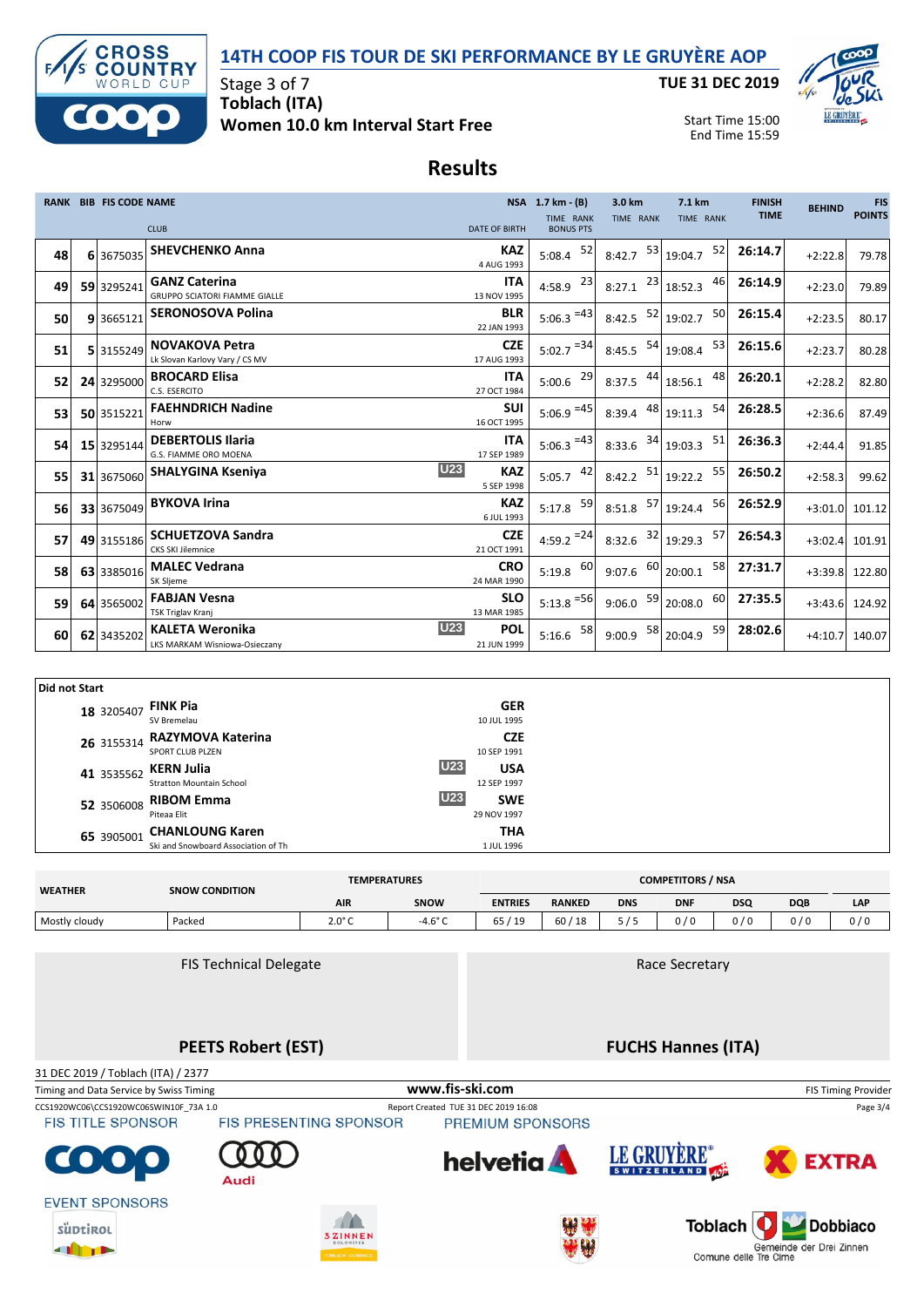



**TUE 31 DEC 2019**



Start Time 15:00 End Time 15:59

## **Results**

|    | <b>RANK BIB FIS CODE NAME</b> |                                                              |                                        | NSA 1.7 km - (B)<br><b>TIME RANK</b> | 3.0 km<br>TIME RANK | 7.1 km<br>TIME RANK         | <b>FINISH</b><br><b>TIME</b> | <b>BEHIND</b>    | <b>FIS</b><br><b>POINTS</b> |
|----|-------------------------------|--------------------------------------------------------------|----------------------------------------|--------------------------------------|---------------------|-----------------------------|------------------------------|------------------|-----------------------------|
|    |                               | <b>CLUB</b>                                                  | <b>DATE OF BIRTH</b>                   | <b>BONUS PTS</b>                     |                     |                             |                              |                  |                             |
| 48 | 6 3675035                     | <b>SHEVCHENKO Anna</b>                                       | KAZ<br>4 AUG 1993                      | 52<br>5:08.4                         | 8:42.7              | $53$ 19:04.7<br>52          | 26:14.7                      | $+2:22.8$        | 79.78                       |
| 49 | 59 3295241                    | <b>GANZ Caterina</b><br><b>GRUPPO SCIATORI FIAMME GIALLE</b> | <b>ITA</b><br>13 NOV 1995              | 4:58.9 $^{23}$                       | 8:27.1              | $23$ 18:52.3<br>46          | 26:14.9                      | $+2:23.0$        | 79.89                       |
| 50 | 9 3665121                     | <b>SERONOSOVA Polina</b>                                     | <b>BLR</b><br>22 JAN 1993              | $5:06.3$ <sup>=43</sup>              | 52<br>8:42.5        | 50<br>19:02.7               | 26:15.4                      | $+2:23.5$        | 80.17                       |
| 51 | 5 3155249                     | <b>NOVAKOVA Petra</b><br>Lk Slovan Karlovy Vary / CS MV      | <b>CZE</b><br>17 AUG 1993              | $5:02.7$ <sup>=34</sup>              | 8:45.5              | 53<br><sup>54</sup> 19:08.4 | 26:15.6                      | $+2:23.7$        | 80.28                       |
| 52 | 24 3295000                    | <b>BROCARD Elisa</b><br>C.S. ESERCITO                        | <b>ITA</b><br>27 OCT 1984              | $5:00.6$ $^{29}$                     | 44<br>8:37.5        | 48<br>18:56.1               | 26:20.1                      | $+2:28.2$        | 82.80                       |
| 53 | 50 3515221                    | <b>FAEHNDRICH Nadine</b><br>Horw                             | <b>SUI</b><br>16 OCT 1995              | $5:06.9$ <sup>=45</sup>              | 8:39.4              | 48 19:11.3<br>54            | 26:28.5                      | $+2:36.6$        | 87.49                       |
| 54 | 15 3295144                    | <b>DEBERTOLIS Ilaria</b><br>G.S. FIAMME ORO MOENA            | <b>ITA</b><br>17 SEP 1989              | $5:06.3$ <sup>=43</sup>              | 8:33.6              | $34$ 19:03.3<br>51          | 26:36.3                      | $+2:44.4$        | 91.85                       |
| 55 | 31 3675060                    | <b>SHALYGINA Kseniya</b>                                     | <b>U23</b><br><b>KAZ</b><br>5 SEP 1998 | -42<br>5:05.7                        | 8:42.2              | 55<br>$51$ 19:22.2          | 26:50.2                      | $+2:58.3$        | 99.62                       |
| 56 | 33 3675049                    | <b>BYKOVA Irina</b>                                          | <b>KAZ</b><br>6 JUL 1993               | 59<br>5:17.8                         | 57<br>8:51.8        | 56<br>19:24.4               | 26:52.9                      | $+3:01.0$        | 101.12                      |
| 57 | 49 3155186                    | <b>SCHUETZOVA Sandra</b><br><b>CKS SKI Jilemnice</b>         | <b>CZE</b><br>21 OCT 1991              | $4:59.2 = 24$                        | 32<br>8:32.6        | 57<br>19:29.3               | 26:54.3                      | +3:02.4 101.91   |                             |
| 58 | 63 3385016                    | <b>MALEC Vedrana</b><br>SK Sljeme                            | <b>CRO</b><br>24 MAR 1990              | 60<br>5:19.8                         | 9:07.6              | 58<br>$60$ 20:00.1          | 27:31.7                      |                  | +3:39.8 122.80              |
| 59 | 64 3565002                    | <b>FABJAN Vesna</b><br>TSK Triglav Kranj                     | <b>SLO</b><br>13 MAR 1985              | $5:13.8$ <sup>=56</sup>              | 9:06.0              | $\frac{59}{20:08.0}$<br>60  | 27:35.5                      | $+3:43.6$ 124.92 |                             |
| 60 | 62 3435202                    | KALETA Weronika<br>LKS MARKAM Wisniowa-Osieczany             | U23<br>POL<br>21 JUN 1999              | 58<br>5:16.6                         | 58<br>9:00.9        | 59<br>20:04.9               | 28:02.6                      | $+4:10.7$        | 140.07                      |

| Did not Start       |                                     |            |             |
|---------------------|-------------------------------------|------------|-------------|
| 18 3205407 FINK Pia |                                     |            | <b>GER</b>  |
|                     | SV Bremelau                         |            | 10 JUL 1995 |
|                     | 26 3155314 RAZYMOVA Katerina        |            | <b>CZE</b>  |
|                     | <b>SPORT CLUB PLZEN</b>             |            | 10 SEP 1991 |
| 41 3535562          | KERN Julia                          | <b>U23</b> | <b>USA</b>  |
|                     | <b>Stratton Mountain School</b>     |            | 12 SEP 1997 |
|                     | 52 3506008 RIBOM Emma               | <b>U23</b> | <b>SWE</b>  |
|                     | Piteaa Elit                         |            | 29 NOV 1997 |
| 65 3905001          | <b>CHANLOUNG Karen</b>              |            | THA         |
|                     | Ski and Snowboard Association of Th |            | 1 JUL 1996  |

| <b>WEATHER</b> | <b>SNOW CONDITION</b> | <b>TEMPERATURES</b> |              |                |               |            | <b>COMPETITORS / NSA</b> |                          |     |     |
|----------------|-----------------------|---------------------|--------------|----------------|---------------|------------|--------------------------|--------------------------|-----|-----|
|                |                       | <b>AIR</b>          | <b>SNOW</b>  | <b>ENTRIES</b> | <b>RANKED</b> | <b>DNS</b> | <b>DNF</b>               | <b>DSQ</b><br><b>DQB</b> |     | LAP |
| Mostly cloudy  | Packed                | $2.0^{\circ}$ C     | -4.6° $\cap$ | 65/<br>/19     | 60/18         | 5/5        | 0 / 0                    | 0/0                      | 0/0 | 0/0 |

FIS Technical Delegate

Race Secretary

**PEETS Robert (EST)**

Audi

**FUCHS Hannes (ITA)**

LE GRUYÈRE®

31 DEC 2019 / Toblach (ITA) / 2377

CCS1920WC06\CCS1920WC06SWIN10F\_73A 1.0 Report Created TUE 31 DEC 2019 16:08 Page 3/4<br>FIS TITLE SPONSOR FIS PRESENTING SPONSOR PREMIUM SPONSORS Timing and Data Service by Swiss Timing **www.fis-ski.com www.fis-ski.com** FIS Timing Provider

**FIS TITLE SPONSOR** 



**EVENT SPONSORS** 

süptikol **THEFT** 





helvetia



**EXTRA**